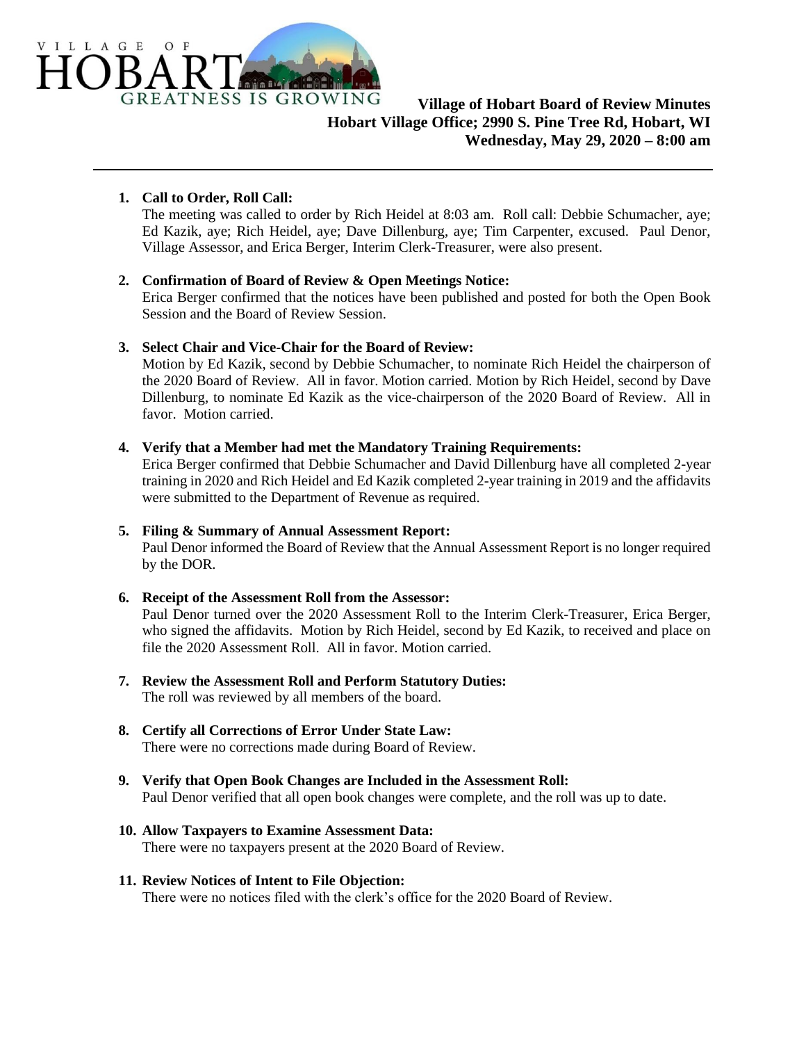

# **1. Call to Order, Roll Call:**

The meeting was called to order by Rich Heidel at 8:03 am. Roll call: Debbie Schumacher, aye; Ed Kazik, aye; Rich Heidel, aye; Dave Dillenburg, aye; Tim Carpenter, excused. Paul Denor, Village Assessor, and Erica Berger, Interim Clerk-Treasurer, were also present.

#### **2. Confirmation of Board of Review & Open Meetings Notice:**

Erica Berger confirmed that the notices have been published and posted for both the Open Book Session and the Board of Review Session.

# **3. Select Chair and Vice-Chair for the Board of Review:**

Motion by Ed Kazik, second by Debbie Schumacher, to nominate Rich Heidel the chairperson of the 2020 Board of Review. All in favor. Motion carried. Motion by Rich Heidel, second by Dave Dillenburg, to nominate Ed Kazik as the vice-chairperson of the 2020 Board of Review. All in favor. Motion carried.

#### **4. Verify that a Member had met the Mandatory Training Requirements:**

Erica Berger confirmed that Debbie Schumacher and David Dillenburg have all completed 2-year training in 2020 and Rich Heidel and Ed Kazik completed 2-year training in 2019 and the affidavits were submitted to the Department of Revenue as required.

#### **5. Filing & Summary of Annual Assessment Report:**

Paul Denor informed the Board of Review that the Annual Assessment Report is no longer required by the DOR.

#### **6. Receipt of the Assessment Roll from the Assessor:**

Paul Denor turned over the 2020 Assessment Roll to the Interim Clerk-Treasurer, Erica Berger, who signed the affidavits. Motion by Rich Heidel, second by Ed Kazik, to received and place on file the 2020 Assessment Roll. All in favor. Motion carried.

- **7. Review the Assessment Roll and Perform Statutory Duties:** The roll was reviewed by all members of the board.
- **8. Certify all Corrections of Error Under State Law:** There were no corrections made during Board of Review.
- **9. Verify that Open Book Changes are Included in the Assessment Roll:** Paul Denor verified that all open book changes were complete, and the roll was up to date.
- **10. Allow Taxpayers to Examine Assessment Data:** There were no taxpayers present at the 2020 Board of Review.

# **11. Review Notices of Intent to File Objection:**

There were no notices filed with the clerk's office for the 2020 Board of Review.